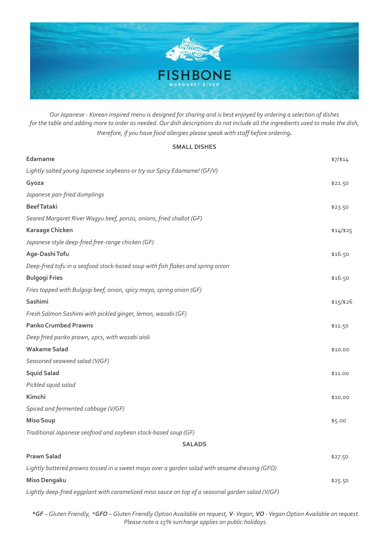

*Our Japanese - Korean inspired menu is designed for sharing and is best enjoyed by ordering a selection of dishes for the table and adding more to order as needed. Our dish descriptions do not include all the ingredients used to make the dish, therefore, if you have food allergies please speak with staff before ordering*.

## **SMALL DISHES**

| Edamame                                                                                       | \$7/\$14    |  |
|-----------------------------------------------------------------------------------------------|-------------|--|
| Lightly salted young Japanese soybeans or try our Spicy Edamame! (GF/V)                       |             |  |
| Gyoza                                                                                         | \$21.50     |  |
| Japanese pan-fried dumplings                                                                  |             |  |
| <b>Beef Tataki</b>                                                                            | \$23.50     |  |
| Seared Margaret River Wagyu beef, ponzu, onions, fried shallot (GF)                           |             |  |
| Karaage Chicken                                                                               | $$14$ /\$25 |  |
| Japanese style deep-fried free-range chicken (GF)                                             |             |  |
| Age-Dashi Tofu                                                                                | \$16.50     |  |
| Deep-fried tofu in a seafood stock-based soup with fish flakes and spring onion               |             |  |
| <b>Bulgogi Fries</b>                                                                          | \$16.50     |  |
| Fries topped with Bulgogi beef, onion, spicy mayo, spring onion (GF)                          |             |  |
| Sashimi                                                                                       | $$15$ /\$26 |  |
| Fresh Salmon Sashimi with pickled ginger, lemon, wasabi (GF)                                  |             |  |
| <b>Panko Crumbed Prawns</b>                                                                   | \$11.50     |  |
| Deep fried panko prawn, 2pcs, with wasabi aioli                                               |             |  |
| <b>Wakame Salad</b>                                                                           | \$10.00     |  |
| Seasoned seaweed salad (V/GF)                                                                 |             |  |
| <b>Squid Salad</b>                                                                            | \$11.00     |  |
| Pickled squid salad                                                                           |             |  |
| Kimchi                                                                                        | \$10.00     |  |
| Spiced and fermented cabbage (V/GF)                                                           |             |  |
| <b>Miso Soup</b>                                                                              | \$5.00      |  |
| Traditional Japanese seafood and soybean stock-based soup (GF)                                |             |  |
| <b>SALADS</b>                                                                                 |             |  |
| <b>Prawn Salad</b>                                                                            | \$27.50     |  |
| Lightly battered prawns tossed in a sweet mayo over a garden salad with sesame dressing (GFO) |             |  |
| Miso Dengaku                                                                                  | \$25.50     |  |
|                                                                                               |             |  |

*Lightly deep-fried eggplant with caramelized miso sauce on top of a seasonal garden salad (V/GF)*

*\*GF – Gluten Friendly, \*GFO – Gluten Friendly Option Available on request, V- Vegan, VO -VeganOption Available on request. Please note a 15% surcharge applies on public holidays.*